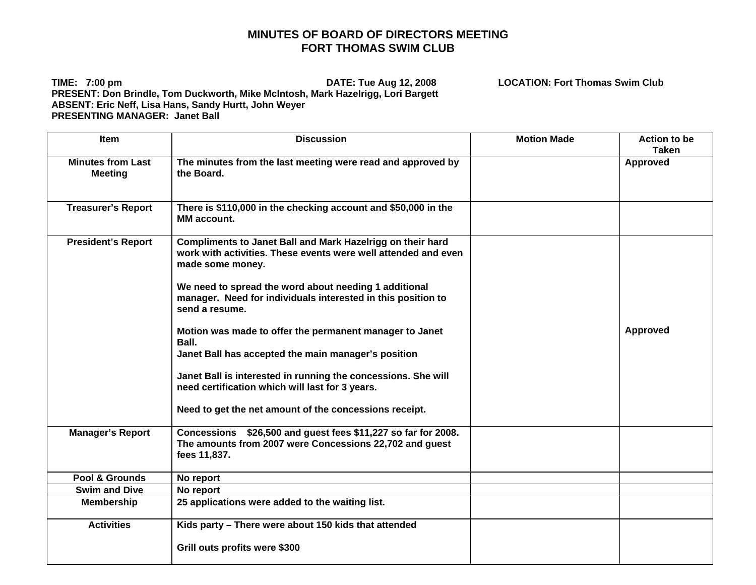## **MINUTES OF BOARD OF DIRECTORS MEETING FORT THOMAS SWIM CLUB**

**TIME: 7:00 pm DATE: Tue Aug 12, 2008 LOCATION: Fort Thomas Swim Club PRESENT: Don Brindle, Tom Duckworth, Mike McIntosh, Mark Hazelrigg, Lori Bargett ABSENT: Eric Neff, Lisa Hans, Sandy Hurtt, John Weyer PRESENTING MANAGER: Janet Ball** 

Item Discussion Motion Made Action to be **Taken Minutes from Last Meeting The minutes from the last meeting were read and approved by the Board. Approved Treasurer's Report There is \$110,000 in the checking account and \$50,000 in the MM account. President's Report | Compliments to Janet Ball and Mark Hazelrigg on their hard work with activities. These events were well attended and even made some money. We need to spread the word about needing 1 additional manager. Need for individuals interested in this position to send a resume. Motion was made to offer the permanent manager to Janet Ball. Janet Ball has accepted the main manager's position Janet Ball is interested in running the concessions. She will need certification which will last for 3 years. Need to get the net amount of the concessions receipt. Approved Manager's Report Concessions \$26,500 and guest fees \$11,227 so far for 2008. The amounts from 2007 were Concessions 22,702 and guest fees 11,837.**  Pool & Grounds | No report **Swim and Dive | No report Membership 25 applications were added to the waiting list.**  Activities | Kids party – There were about 150 kids that attended **Grill outs profits were \$300**